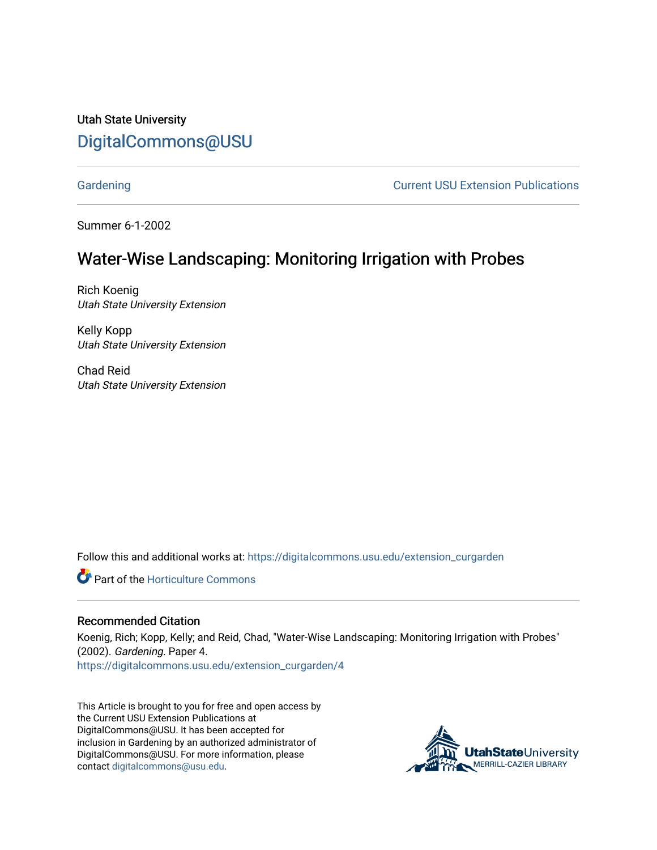Utah State University [DigitalCommons@USU](https://digitalcommons.usu.edu/)

[Gardening](https://digitalcommons.usu.edu/extension_curgarden) **Current USU Extension Publications** 

Summer 6-1-2002

## Water-Wise Landscaping: Monitoring Irrigation with Probes

Rich Koenig Utah State University Extension

Kelly Kopp Utah State University Extension

Chad Reid Utah State University Extension

Follow this and additional works at: [https://digitalcommons.usu.edu/extension\\_curgarden](https://digitalcommons.usu.edu/extension_curgarden?utm_source=digitalcommons.usu.edu%2Fextension_curgarden%2F4&utm_medium=PDF&utm_campaign=PDFCoverPages) 

**C** Part of the Horticulture Commons

#### Recommended Citation

Koenig, Rich; Kopp, Kelly; and Reid, Chad, "Water-Wise Landscaping: Monitoring Irrigation with Probes" (2002). Gardening. Paper 4. [https://digitalcommons.usu.edu/extension\\_curgarden/4](https://digitalcommons.usu.edu/extension_curgarden/4?utm_source=digitalcommons.usu.edu%2Fextension_curgarden%2F4&utm_medium=PDF&utm_campaign=PDFCoverPages) 

This Article is brought to you for free and open access by the Current USU Extension Publications at DigitalCommons@USU. It has been accepted for inclusion in Gardening by an authorized administrator of DigitalCommons@USU. For more information, please contact [digitalcommons@usu.edu](mailto:digitalcommons@usu.edu).

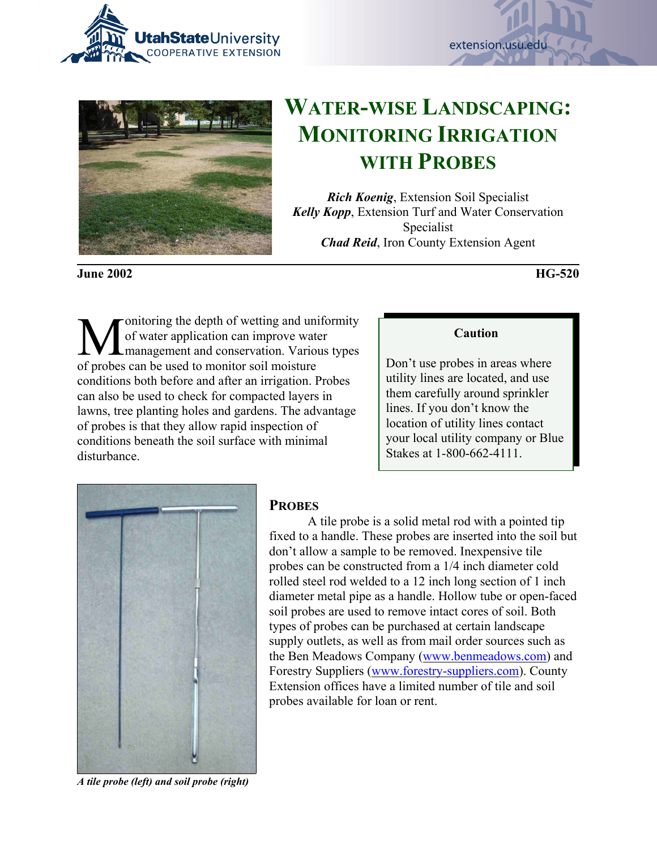





# **WATER-WISE LANDSCAPING: MONITORING IRRIGATION WITH PROBES**

*Rich Koenig*, Extension Soil Specialist *Kelly Kopp*, Extension Turf and Water Conservation Specialist *Chad Reid*, Iron County Extension Agent

**June 2002 HG-520**

**M** of water application can improve water<br>
management and conservation. Various types of water application can improve water of probes can be used to monitor soil moisture conditions both before and after an irrigation. Probes can also be used to check for compacted layers in lawns, tree planting holes and gardens. The advantage of probes is that they allow rapid inspection of conditions beneath the soil surface with minimal disturbance.

#### **Caution**

Don't use probes in areas where utility lines are located, and use them carefully around sprinkler lines. If you don't know the location of utility lines contact your local utility company or Blue Stakes at 1-800-662-4111.



*A tile probe (left) and soil probe (right)*

### **PROBES**

A tile probe is a solid metal rod with a pointed tip fixed to a handle. These probes are inserted into the soil but don't allow a sample to be removed. Inexpensive tile probes can be constructed from a 1/4 inch diameter cold rolled steel rod welded to a 12 inch long section of 1 inch diameter metal pipe as a handle. Hollow tube or open-faced soil probes are used to remove intact cores of soil. Both types of probes can be purchased at certain landscape supply outlets, as well as from mail order sources such as the Ben Meadows Company (www.benmeadows.com) and Forestry Suppliers (www.forestry-suppliers.com). County Extension offices have a limited number of tile and soil probes available for loan or rent.